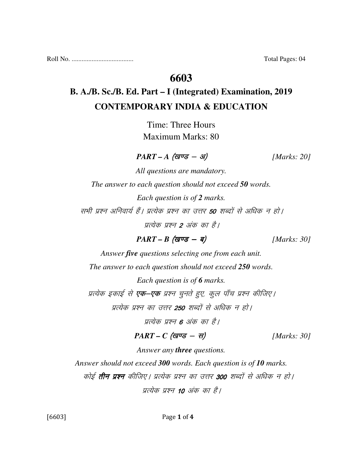## **6603**

# **B. A./B. Sc./B. Ed. Part – I (Integrated) Examination, 2019 CONTEMPORARY INDIA & EDUCATION**

Time: Three Hours Maximum Marks: 80

 $PART - A$  (खण्ड - अ) [Marks: 20]

*All questions are mandatory. The answer to each question should not exceed 50 words. Each question is of 2 marks.*  सभी प्रश्न अनिवार्य हैं। प्रत्येक प्रश्न का उत्तर **50** शब्दों से अधिक न हो। प्रत्येक प्रश्न 2 अंक का है।

 $PART - B$  (*gvg* - *q*) [*Marks: 30]* 

*Answer five questions selecting one from each unit.* 

*The answer to each question should not exceed 250 words.* 

*Each question is of 6 marks.* 

प्रत्येक इकाई से **एक–एक** प्रश्न चुनते हुए, कूल पाँच प्रश्न कीजिए।

प्रत्येक प्रश्न का उत्तर 250 शब्दों से अधिक न हो।

प्रत्येक प्रश्न 6 अंक का है।

 $PART - C$  (*खण्ड* - स) [*Marks: 30*]

*Answer any three questions.* 

*Answer should not exceed 300 words. Each question is of 10 marks.* 

कोई **तीन प्रश्न** कीजिए। प्रत्येक प्रश्न का उत्तर 300 शब्दों से अधिक न हो।

प्रत्येक प्रश्न 10 अंक का है।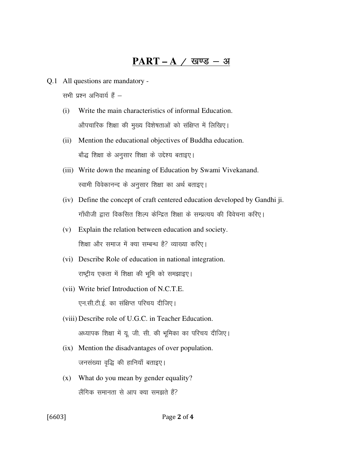### $PART - A / Q$  खण्ड - अ

Q.1 All questions are mandatory -

सभी प्रश्न अनिवार्य हैं $-$ 

- (i) Write the main characteristics of informal Education. ओपचारिक शिक्षा की मुख्य विशेषताओं को संक्षिप्त में लिखिए।
- (ii) Mention the educational objectives of Buddha education. बौद्ध शिक्षा के अनुसार शिक्षा के उद्देश्य बताइए।
- (iii) Write down the meaning of Education by Swami Vivekanand. स्वामी विवेकानन्द के अनुसार शिक्षा का अर्थ बताइए।
- (iv) Define the concept of craft centered education developed by Gandhi ji. गाँधीजी द्वारा विकसित शिल्प केन्द्रित शिक्षा के सम्प्रत्यय की विवेचना करिए।
- (v) Explain the relation between education and society. शिक्षा और समाज में क्या सम्बन्ध है? व्याख्या करिए।
- (vi) Describe Role of education in national integration. राष्ट्रीय एकता में शिक्षा की भूमि को समझाइए।
- (vii) Write brief Introduction of N.C.T.E. एन.सी.टी.ई. का संक्षिप्त परिचय दीजिए।
- (viii) Describe role of U.G.C. in Teacher Education. अध्यापक शिक्षा में यू. जी. सी. की भूमिका का परिचय दीजिए।
- (ix) Mention the disadvantages of over population. जनसंख्या वृद्धि की हानियाँ बताइए।
- (x) What do you mean by gender equality? लैंगिक समानता से आप क्या समझते हैं?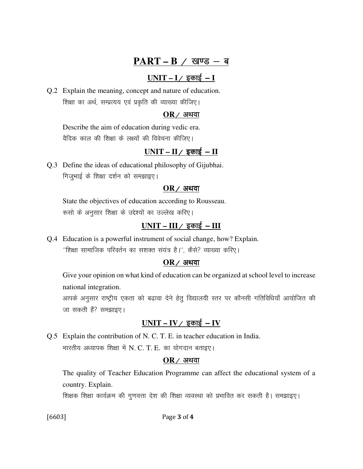## PART – B / खण्ड – ब

## $UNIT - I /$  इकाई – **I**

Q.2 Explain the meaning, concept and nature of education. शिक्षा का अर्थ, सम्प्रत्यय एवं प्रकृति की व्याख्या कीजिए।

#### $OR$  / अथवा

 Describe the aim of education during vedic era. वैदिक काल की शिक्षा के लक्ष्यों की विवेचना कीजिए।

### $UNIT - II /$  इकाई - **II**

Q.3 Define the ideas of educational philosophy of Gijubhai. गिजुभाई के शिक्षा दर्शन को समझाइए।

#### $OR$  / अथवा

 State the objectives of education according to Rousseau. रूसो के अनुसार शिक्षा के उद्देश्यों का उल्लेख करिए।

### <u>UNIT – III / इकाई – III</u>

Q.4 Education is a powerful instrument of social change, how? Explain. "शिक्षा सामाजिक परिवर्तन का सशक्त संयंत्र है।'', कैसे? व्याख्या करिए।

#### $OR$ / अथवा

 Give your opinion on what kind of education can be organized at school level to increase national integration.

आपके अनुसार राष्ट्रीय एकता को बढ़ावा देने हेतु विद्यालयी स्तर पर कौनसी गतिविधियाँ आयोजित की जा सकती हैं? समझाइए।

### $UNIT - IV /$  इकाई - IV

Q.5 Explain the contribution of N. C. T. E. in teacher education in India. भारतीय अध्यापक शिक्षा में N. C. T. E. का योगदान बताइए।

#### $OR$  / अथवा

 The quality of Teacher Education Programme can affect the educational system of a country. Explain.

शिक्षक शिक्षा कार्यक्रम की गुणवत्ता देश की शिक्षा व्यवस्था को प्रभावित कर सकती है। समझाइए।